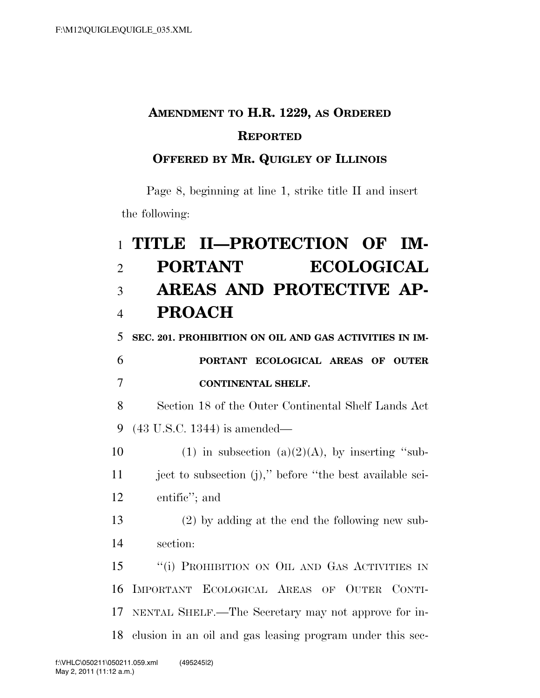## **AMENDMENT TO H.R. 1229, AS ORDERED REPORTED**

## **OFFERED BY MR. QUIGLEY OF ILLINOIS**

Page 8, beginning at line 1, strike title II and insert the following:

## 1 **TITLE II—PROTECTION OF IM-**2 **PORTANT ECOLOGICAL**  3 **AREAS AND PROTECTIVE AP-**4 **PROACH**  5 **SEC. 201. PROHIBITION ON OIL AND GAS ACTIVITIES IN IM-**6 **PORTANT ECOLOGICAL AREAS OF OUTER**  7 **CONTINENTAL SHELF.**  8 Section 18 of the Outer Continental Shelf Lands Act 9 (43 U.S.C. 1344) is amended— 10 (1) in subsection (a)(2)(A), by inserting "sub-11 ject to subsection (j)," before "the best available sci-12 entific''; and 13 (2) by adding at the end the following new sub-14 section: 15 "(i) PROHIBITION ON OIL AND GAS ACTIVITIES IN 16 IMPORTANT ECOLOGICAL AREAS OF OUTER CONTI-17 NENTAL SHELF.—The Secretary may not approve for in-18 clusion in an oil and gas leasing program under this sec-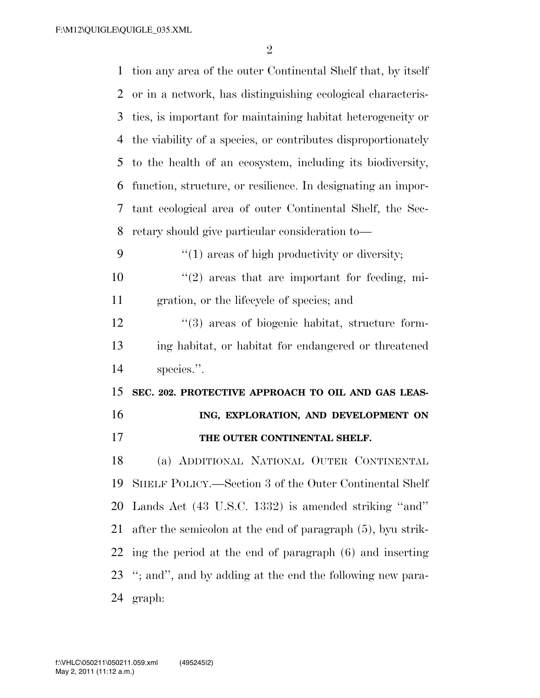F:\M12\QUIGLE\QUIGLE\_035.XML

| $\mathbf{1}$ | tion any area of the outer Continental Shelf that, by itself  |
|--------------|---------------------------------------------------------------|
| 2            | or in a network, has distinguishing ecological characteris-   |
| 3            | tics, is important for maintaining habitat heterogeneity or   |
| 4            | the viability of a species, or contributes disproportionately |
| 5            | to the health of an ecosystem, including its biodiversity,    |
| 6            | function, structure, or resilience. In designating an impor-  |
| 7            | tant ecological area of outer Continental Shelf, the Sec-     |
| 8            | retary should give particular consideration to—               |
| 9            | $\lq(1)$ areas of high productivity or diversity;             |
| 10           | $\lq(2)$ areas that are important for feeding, mi-            |
| 11           | gration, or the lifecycle of species; and                     |
| 12           | $\cdot\cdot$ (3) areas of biogenic habitat, structure form-   |
|              |                                                               |
| 13           | ing habitat, or habitat for endangered or threatened          |
| 14           | species.".                                                    |
| 15           | SEC. 202. PROTECTIVE APPROACH TO OIL AND GAS LEAS-            |
| 16           | ING, EXPLORATION, AND DEVELOPMENT ON                          |
| 17           | THE OUTER CONTINENTAL SHELF.                                  |
| 18           | (a) ADDITIONAL NATIONAL OUTER CONTINENTAL                     |
| 19           | SHELF POLICY.—Section 3 of the Outer Continental Shelf        |
| 20           | Lands Act (43 U.S.C. 1332) is amended striking "and"          |
| 21           | after the semicolon at the end of paragraph (5), by ustrik-   |
| 22           | ing the period at the end of paragraph (6) and inserting      |
|              | 23 "; and", and by adding at the end the following new para-  |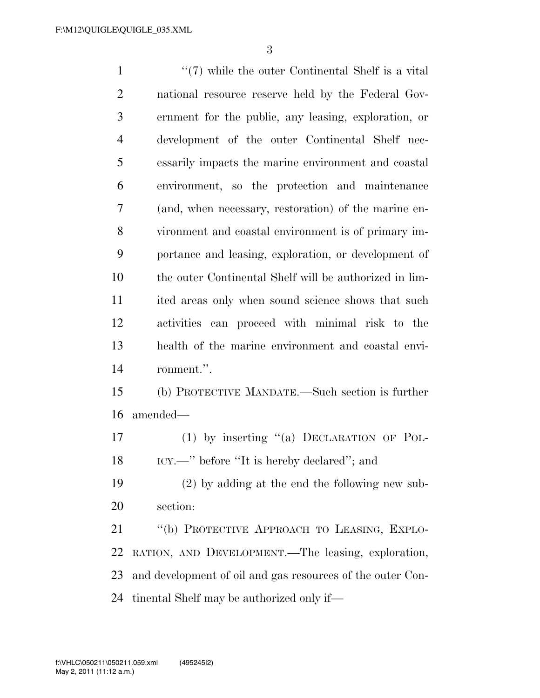1 ''(7) while the outer Continental Shelf is a vital national resource reserve held by the Federal Gov- ernment for the public, any leasing, exploration, or development of the outer Continental Shelf nec- essarily impacts the marine environment and coastal environment, so the protection and maintenance (and, when necessary, restoration) of the marine en- vironment and coastal environment is of primary im- portance and leasing, exploration, or development of the outer Continental Shelf will be authorized in lim- ited areas only when sound science shows that such activities can proceed with minimal risk to the health of the marine environment and coastal envi-ronment.''.

 (b) PROTECTIVE MANDATE.—Such section is further amended—

 (1) by inserting ''(a) DECLARATION OF POL-18 ICY.—" before "It is hereby declared"; and

 (2) by adding at the end the following new sub-section:

 ''(b) PROTECTIVE APPROACH TO LEASING, EXPLO- RATION, AND DEVELOPMENT.—The leasing, exploration, and development of oil and gas resources of the outer Con-tinental Shelf may be authorized only if